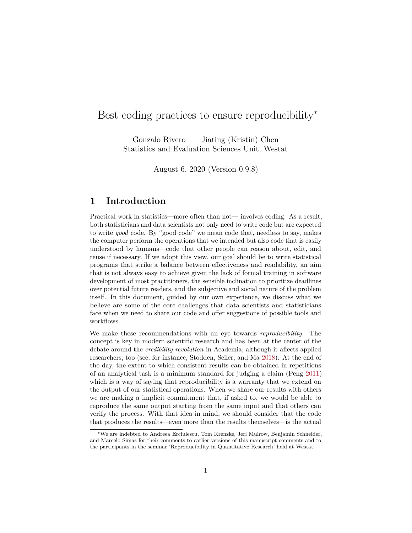# Best coding practices to ensure reproducibility<sup>\*</sup>

Gonzalo Rivero Jiating (Kristin) Chen Statistics and Evaluation Sciences Unit, Westat

August 6, 2020 (Version 0.9.8)

# **1 Introduction**

Practical work in statistics—more often than not— involves coding. As a result, both statisticians and data scientists not only need to write code but are expected to write *good* code. By "good code" we mean code that, needless to say, makes the computer perform the operations that we intended but also code that is easily understood by humans—code that other people can reason about, edit, and reuse if necessary. If we adopt this view, our goal should be to write statistical programs that strike a balance between effectiveness and readability, an aim that is not always easy to achieve given the lack of formal training in software development of most practitioners, the sensible inclination to prioritize deadlines over potential future readers, and the subjective and social nature of the problem itself. In this document, guided by our own experience, we discuss what we believe are some of the core challenges that data scientists and statisticians face when we need to share our code and offer suggestions of possible tools and workflows.

We make these recommendations with an eye towards *reproducibility.* The concept is key in modern scientific research and has been at the center of the debate around the *credibility revolution* in Academia, although it affects applied researchers, too (see, for instance, Stodden, Seiler, and Ma [2018\)](#page-8-0). At the end of the day, the extent to which consistent results can be obtained in repetitions of an analytical task is a minimum standard for judging a claim (Peng [2011\)](#page-8-1) which is a way of saying that reproducibility is a warranty that we extend on the output of our statistical operations. When we share our results with others we are making a implicit commitment that, if asked to, we would be able to reproduce the same output starting from the same input and that others can verify the process. With that idea in mind, we should consider that the code that produces the results—even more than the results themselves—is the actual

<sup>∗</sup>We are indebted to Andreea Erciulescu, Tom Krenzke, Jeri Mulrow, Benjamin Schneider, and Marcelo Simas for their comments to earlier versions of this manuscript comments and to the participants in the seminar 'Reproducibility in Quantitative Research' held at Westat.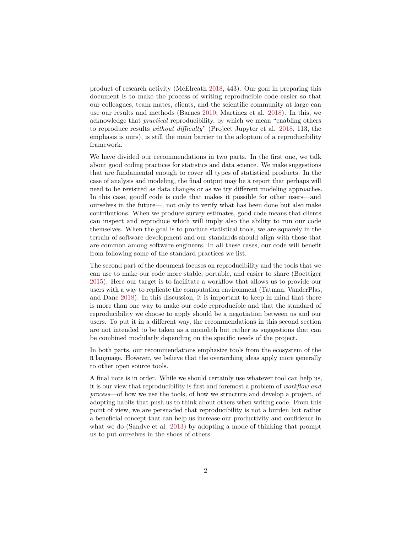product of research activity (McElreath [2018,](#page-8-2) 443). Our goal in preparing this document is to make the process of writing reproducible code easier so that our colleagues, team mates, clients, and the scientific community at large can use our results and methods (Barnes [2010;](#page-7-0) Martinez et al. [2018\)](#page-8-3). In this, we acknowledge that *practical* reproducibility, by which we mean "enabling others to reproduce results *without difficulty*" (Project Jupyter et al. [2018,](#page-8-4) 113, the emphasis is ours), is still the main barrier to the adoption of a reproducibility framework.

We have divided our recommendations in two parts. In the first one, we talk about good coding practices for statistics and data science. We make suggestions that are fundamental enough to cover all types of statistical products. In the case of analysis and modeling, the final output may be a report that perhaps will need to be revisited as data changes or as we try different modeling approaches. In this case, goodf code is code that makes it possible for other users—and ourselves in the future—, not only to verify what has been done but also make contributions. When we produce survey estimates, good code means that clients can inspect and reproduce which will imply also the ability to run our code themselves. When the goal is to produce statistical tools, we are squarely in the terrain of software development and our standards should align with those that are common among software engineers. In all these cases, our code will benefit from following some of the standard practices we list.

The second part of the document focuses on reproducibility and the tools that we can use to make our code more stable, portable, and easier to share (Boettiger [2015\)](#page-7-1). Here our target is to facilitate a workflow that allows us to provide our users with a way to replicate the computation environment (Tatman, VanderPlas, and Dane [2018\)](#page-8-5). In this discussion, it is important to keep in mind that there is more than one way to make our code reproducible and that the standard of reproducibility we choose to apply should be a negotiation between us and our users. To put it in a different way, the recommendations in this second section are not intended to be taken as a monolith but rather as suggestions that can be combined modularly depending on the specific needs of the project.

In both parts, our recommendations emphasize tools from the ecosystem of the R language. However, we believe that the overarching ideas apply more generally to other open source tools.

A final note is in order. While we should certainly use whatever tool can help us, it is our view that reproducibility is first and foremost a problem of *workflow and process*—of how we use the tools, of how we structure and develop a project, of adopting habits that push us to think about others when writing code. From this point of view, we are persuaded that reproducibility is not a burden but rather a beneficial concept that can help us increase our productivity and confidence in what we do (Sandve et al. [2013\)](#page-8-6) by adopting a mode of thinking that prompt us to put ourselves in the shoes of others.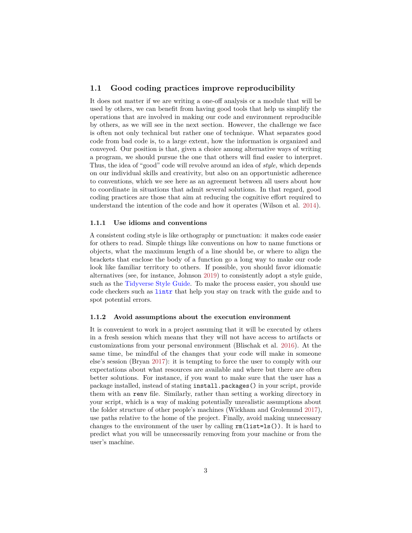## **1.1 Good coding practices improve reproducibility**

It does not matter if we are writing a one-off analysis or a module that will be used by others, we can benefit from having good tools that help us simplify the operations that are involved in making our code and environment reproducible by others, as we will see in the next section. However, the challenge we face is often not only technical but rather one of technique. What separates good code from bad code is, to a large extent, how the information is organized and conveyed. Our position is that, given a choice among alternative ways of writing a program, we should pursue the one that others will find easier to interpret. Thus, the idea of "good" code will revolve around an idea of *style,* which depends on our individual skills and creativity, but also on an opportunistic adherence to conventions, which we see here as an agreement between all users about how to coordinate in situations that admit several solutions. In that regard, good coding practices are those that aim at reducing the cognitive effort required to understand the intention of the code and how it operates (Wilson et al. [2014\)](#page-8-7).

### **1.1.1 Use idioms and conventions**

A consistent coding style is like orthography or punctuation: it makes code easier for others to read. Simple things like conventions on how to name functions or objects, what the maximum length of a line should be, or where to align the brackets that enclose the body of a function go a long way to make our code look like familiar territory to others. If possible, you should favor idiomatic alternatives (see, for instance, Johnson [2019\)](#page-8-8) to consistently adopt a style guide, such as the [Tidyverse Style Guide.](https://style.tidyverse.org/) To make the process easier, you should use code checkers such as [lintr](https://github.com/jimhester/lintr) that help you stay on track with the guide and to spot potential errors.

#### **1.1.2 Avoid assumptions about the execution environment**

It is convenient to work in a project assuming that it will be executed by others in a fresh session which means that they will not have access to artifacts or customizations from your personal environment (Blischak et al. [2016\)](#page-7-2). At the same time, be mindful of the changes that your code will make in someone else's session (Bryan [2017\)](#page-8-9): it is tempting to force the user to comply with our expectations about what resources are available and where but there are often better solutions. For instance, if you want to make sure that the user has a package installed, instead of stating install.packages() in your script, provide them with an renv file. Similarly, rather than setting a working directory in your script, which is a way of making potentially unrealistic assumptions about the folder structure of other people's machines (Wickham and Grolemund [2017\)](#page-8-10), use paths relative to the home of the project. Finally, avoid making unnecessary changes to the environment of the user by calling  $rm(list=ls())$ . It is hard to predict what you will be unnecessarily removing from your machine or from the user's machine.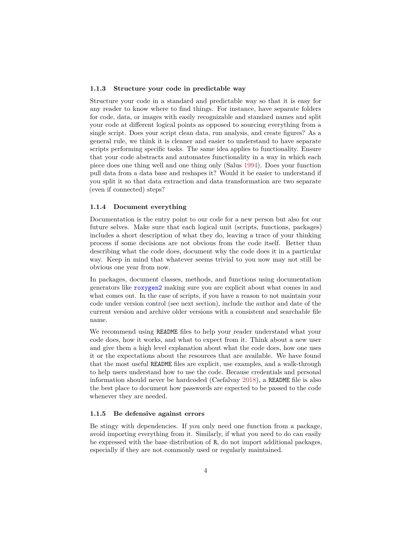### **1.1.3 Structure your code in predictable way**

Structure your code in a standard and predictable way so that it is easy for any reader to know where to find things. For instance, have separate folders for code, data, or images with easily recognizable and standard names and split your code at different logical points as opposed to sourcing everything from a single script. Does your script clean data, run analysis, and create figures? As a general rule, we think it is cleaner and easier to understand to have separate scripts performing specific tasks. The same idea applies to functionality. Ensure that your code abstracts and automates functionality in a way in which each piece does one thing well and one thing only (Salus [1994\)](#page-8-11). Does your function pull data from a data base and reshapes it? Would it be easier to understand if you split it so that data extraction and data transformation are two separate (even if connected) steps?

### **1.1.4 Document everything**

Documentation is the entry point to our code for a new person but also for our future selves. Make sure that each logical unit (scripts, functions, packages) includes a short description of what they do, leaving a trace of your thinking process if some decisions are not obvious from the code itself. Better than describing what the code does, document why the code does it in a particular way. Keep in mind that whatever seems trivial to you now may not still be obvious one year from now.

In packages, document classes, methods, and functions using documentation generators like [roxygen2](https://cran.r-project.org/web/packages/roxygen2/vignettes/roxygen2.html) making sure you are explicit about what comes in and what comes out. In the case of scripts, if you have a reason to not maintain your code under version control (see next section), include the author and date of the current version and archive older versions with a consistent and searchable file name.

We recommend using README files to help your reader understand what your code does, how it works, and what to expect from it. Think about a new user and give them a high level explanation about what the code does, how one uses it or the expectations about the resources that are available. We have found that the most useful README files are explicit, use examples, and a walk-through to help users understand how to use the code. Because credentials and personal information should never be hardcoded (Csefalvay [2018\)](#page-8-12), a README file is also the best place to document how passwords are expected to be passed to the code whenever they are needed.

### **1.1.5 Be defensive against errors**

Be stingy with dependencies. If you only need one function from a package, avoid importing everything from it. Similarly, if what you need to do can easily be expressed with the base distribution of R, do not import additional packages, especially if they are not commonly used or regularly maintained.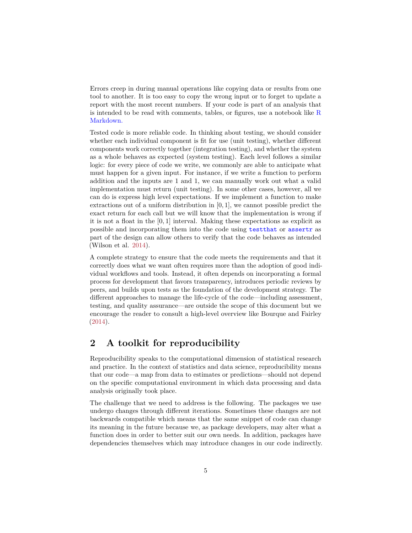Errors creep in during manual operations like copying data or results from one tool to another. It is too easy to copy the wrong input or to forget to update a report with the most recent numbers. If your code is part of an analysis that is intended to be read with comments, tables, or figures, use a notebook like [R](https://rmarkdown.rstudio.com/) [Markdown.](https://rmarkdown.rstudio.com/)

Tested code is more reliable code. In thinking about testing, we should consider whether each individual component is fit for use (unit testing), whether different components work correctly together (integration testing), and whether the system as a whole behaves as expected (system testing). Each level follows a similar logic: for every piece of code we write, we commonly are able to anticipate what must happen for a given input. For instance, if we write a function to perform addition and the inputs are 1 and 1, we can manually work out what a valid implementation must return (unit testing). In some other cases, however, all we can do is express high level expectations. If we implement a function to make extractions out of a uniform distribution in [0*,* 1], we cannot possible predict the exact return for each call but we will know that the implementation is wrong if it is not a float in the [0*,* 1] interval. Making these expectations as explicit as possible and incorporating them into the code using [testthat](https://testthat.r-lib.org/) or [assertr](https://cran.r-project.org/web/packages/assertr/vignettes/assertr.html) as part of the design can allow others to verify that the code behaves as intended (Wilson et al. [2014\)](#page-8-7).

A complete strategy to ensure that the code meets the requirements and that it correctly does what we want often requires more than the adoption of good individual workflows and tools. Instead, it often depends on incorporating a formal process for development that favors transparency, introduces periodic reviews by peers, and builds upon tests as the foundation of the development strategy. The different approaches to manage the life-cycle of the code—including assessment, testing, and quality assurance—are outside the scope of this document but we encourage the reader to consult a high-level overview like Bourque and Fairley [\(2014\)](#page-7-3).

# **2 A toolkit for reproducibility**

Reproducibility speaks to the computational dimension of statistical research and practice. In the context of statistics and data science, reproducibility means that our code—a map from data to estimates or predictions—should not depend on the specific computational environment in which data processing and data analysis originally took place.

The challenge that we need to address is the following. The packages we use undergo changes through different iterations. Sometimes these changes are not backwards compatible which means that the same snippet of code can change its meaning in the future because we, as package developers, may alter what a function does in order to better suit our own needs. In addition, packages have dependencies themselves which may introduce changes in our code indirectly.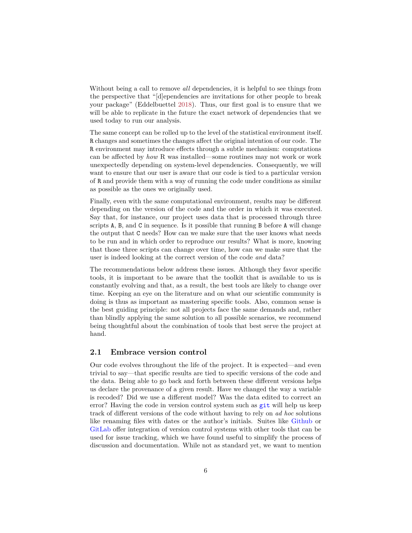Without being a call to remove *all* dependencies, it is helpful to see things from the perspective that "[d]ependencies are invitations for other people to break your package" (Eddelbuettel [2018\)](#page-8-13). Thus, our first goal is to ensure that we will be able to replicate in the future the exact network of dependencies that we used today to run our analysis.

The same concept can be rolled up to the level of the statistical environment itself. R changes and sometimes the changes affect the original intention of our code. The R environment may introduce effects through a subtle mechanism: computations can be affected by *how* R was installed—some routines may not work or work unexpectedly depending on system-level dependencies. Consequently, we will want to ensure that our user is aware that our code is tied to a particular version of R and provide them with a way of running the code under conditions as similar as possible as the ones we originally used.

Finally, even with the same computational environment, results may be different depending on the version of the code and the order in which it was executed. Say that, for instance, our project uses data that is processed through three scripts A, B, and C in sequence. Is it possible that running B before A will change the output that C needs? How can we make sure that the user knows what needs to be run and in which order to reproduce our results? What is more, knowing that those three scripts can change over time, how can we make sure that the user is indeed looking at the correct version of the code *and* data?

The recommendations below address these issues. Although they favor specific tools, it is important to be aware that the toolkit that is available to us is constantly evolving and that, as a result, the best tools are likely to change over time. Keeping an eye on the literature and on what our scientific community is doing is thus as important as mastering specific tools. Also, common sense is the best guiding principle: not all projects face the same demands and, rather than blindly applying the same solution to all possible scenarios, we recommend being thoughtful about the combination of tools that best serve the project at hand.

## **2.1 Embrace version control**

Our code evolves throughout the life of the project. It is expected—and even trivial to say—that specific results are tied to specific versions of the code and the data. Being able to go back and forth between these different versions helps us declare the provenance of a given result. Have we changed the way a variable is recoded? Did we use a different model? Was the data edited to correct an error? Having the code in version control system such as [git](https://git-scm.com/) will help us keep track of different versions of the code without having to rely on *ad hoc* solutions like renaming files with dates or the author's initials. Suites like [Github](https://github.com/) or [GitLab](https://about.gitlab.com/) offer integration of version control systems with other tools that can be used for issue tracking, which we have found useful to simplify the process of discussion and documentation. While not as standard yet, we want to mention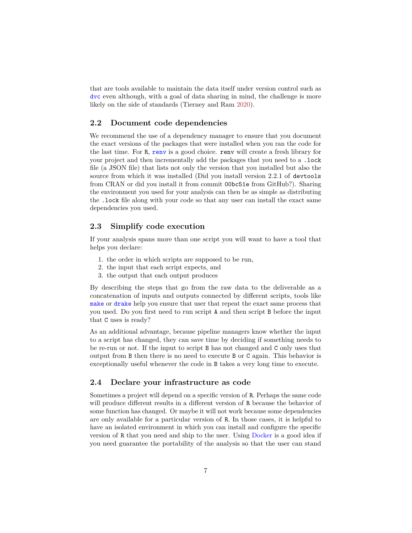that are tools available to maintain the data itself under version control such as [dvc](https://dvc.org/) even although, with a goal of data sharing in mind, the challenge is more likely on the side of standards (Tierney and Ram [2020\)](#page-8-14).

## **2.2 Document code dependencies**

We recommend the use of a dependency manager to ensure that you document the exact versions of the packages that were installed when you ran the code for the last time. For R, [renv](https://rstudio.github.io/renv/articles/renv.html) is a good choice. renv will create a fresh library for your project and then incrementally add the packages that you need to a .lock file (a JSON file) that lists not only the version that you installed but also the source from which it was installed (Did you install version 2.2.1 of devtools from CRAN or did you install it from commit 00bc51e from GitHub?). Sharing the environment you used for your analysis can then be as simple as distributing the .lock file along with your code so that any user can install the exact same dependencies you used.

## **2.3 Simplify code execution**

If your analysis spans more than one script you will want to have a tool that helps you declare:

- 1. the order in which scripts are supposed to be run,
- 2. the input that each script expects, and
- 3. the output that each output produces

By describing the steps that go from the raw data to the deliverable as a concatenation of inputs and outputs connected by different scripts, tools like [make](https://www.gnu.org/software/make/manual/html_node/Introduction.html#Introduction) or [drake](https://github.com/ropensci/drake) help you ensure that user that repeat the exact same process that you used. Do you first need to run script A and then script B before the input that C uses is ready?

As an additional advantage, because pipeline managers know whether the input to a script has changed, they can save time by deciding if something needs to be re-run or not. If the input to script B has not changed and C only uses that output from B then there is no need to execute B or C again. This behavior is exceptionally useful whenever the code in B takes a very long time to execute.

### **2.4 Declare your infrastructure as code**

Sometimes a project will depend on a specific version of R. Perhaps the same code will produce different results in a different version of R because the behavior of some function has changed. Or maybe it will not work because some dependencies are only available for a particular version of R. In those cases, it is helpful to have an isolated environment in which you can install and configure the specific version of R that you need and ship to the user. Using [Docker](https://www.docker.com/) is a good idea if you need guarantee the portability of the analysis so that the user can stand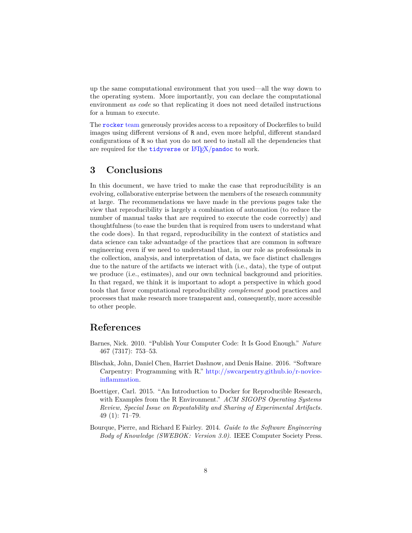up the same computational environment that you used—all the way down to the operating system. More importantly, you can declare the computational environment *as code* so that replicating it does not need detailed instructions for a human to execute.

The [rocker](https://github.com/rocker-org/rocker) team generously provides access to a repository of Dockerfiles to build images using different versions of R and, even more helpful, different standard configurations of R so that you do not need to install all the dependencies that are required for the **[tidyverse](https://hub.docker.com/r/rocker/tidyverse)** or  $\frac{1}{4}$ F<sub>F</sub>X/[pandoc](https://hub.docker.com/r/rocker/verse) to work.

## **3 Conclusions**

In this document, we have tried to make the case that reproducibility is an evolving, collaborative enterprise between the members of the research community at large. The recommendations we have made in the previous pages take the view that reproducibility is largely a combination of automation (to reduce the number of manual tasks that are required to execute the code correctly) and thoughtfulness (to ease the burden that is required from users to understand what the code does). In that regard, reproducibility in the context of statistics and data science can take advantadge of the practices that are common in software engineering even if we need to understand that, in our role as professionals in the collection, analysis, and interpretation of data, we face distinct challenges due to the nature of the artifacts we interact with (i.e., data), the type of output we produce (i.e., estimates), and our own technical background and priorities. In that regard, we think it is important to adopt a perspective in which good tools that favor computational reproducibility *complement* good practices and processes that make research more transparent and, consequently, more accessible to other people.

# **References**

- <span id="page-7-0"></span>Barnes, Nick. 2010. "Publish Your Computer Code: It Is Good Enough." *Nature* 467 (7317): 753–53.
- <span id="page-7-2"></span>Blischak, John, Daniel Chen, Harriet Dashnow, and Denis Haine. 2016. "Software Carpentry: Programming with R." [http://swcarpentry.github.io/r-novice](http://swcarpentry.github.io/r-novice-inflammation)[inflammation.](http://swcarpentry.github.io/r-novice-inflammation)
- <span id="page-7-1"></span>Boettiger, Carl. 2015. "An Introduction to Docker for Reproducible Research, with Examples from the R Environment." *ACM SIGOPS Operating Systems Review, Special Issue on Repeatability and Sharing of Experimental Artifacts.* 49 (1): 71–79.
- <span id="page-7-3"></span>Bourque, Pierre, and Richard E Fairley. 2014. *Guide to the Software Engineering Body of Knowledge (SWEBOK: Version 3.0)*. IEEE Computer Society Press.